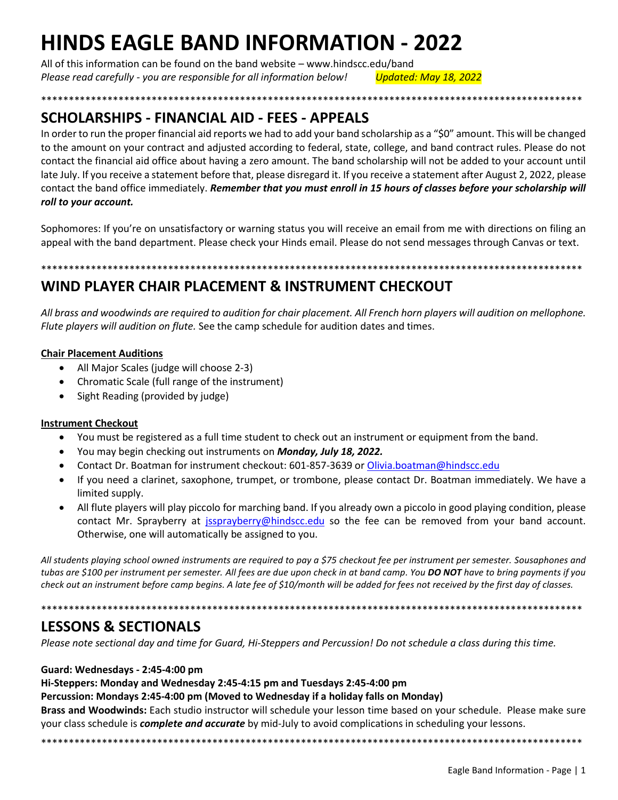# **HINDS EAGLE BAND INFORMATION - 2022**

All of this information can be found on the band website - www.hindscc.edu/band Please read carefully - you are responsible for all information below! **Updated: May 18, 2022** 

# SCHOLARSHIPS - FINANCIAL AID - FEES - APPEALS

In order to run the proper financial aid reports we had to add your band scholarship as a "\$0" amount. This will be changed to the amount on your contract and adjusted according to federal, state, college, and band contract rules. Please do not contact the financial aid office about having a zero amount. The band scholarship will not be added to your account until late July. If you receive a statement before that, please disregard it. If you receive a statement after August 2, 2022, please contact the band office immediately. Remember that you must enroll in 15 hours of classes before your scholarship will roll to your account.

\*\*\*\*\*\*\*\*\*\*\*\*\*\*\*\*

Sophomores: If you're on unsatisfactory or warning status you will receive an email from me with directions on filing an appeal with the band department. Please check your Hinds email. Please do not send messages through Canvas or text.

# WIND PLAYER CHAIR PLACEMENT & INSTRUMENT CHECKOUT

All brass and woodwinds are required to audition for chair placement. All French horn players will audition on mellophone. Flute players will audition on flute. See the camp schedule for audition dates and times.

## **Chair Placement Auditions**

- All Major Scales (judge will choose 2-3)
- Chromatic Scale (full range of the instrument)
- Sight Reading (provided by judge)

## **Instrument Checkout**

- You must be registered as a full time student to check out an instrument or equipment from the band.
- You may begin checking out instruments on Monday, July 18, 2022.
- Contact Dr. Boatman for instrument checkout: 601-857-3639 or Olivia.boatman@hindscc.edu
- If you need a clarinet, saxophone, trumpet, or trombone, please contact Dr. Boatman immediately. We have a limited supply.
- All flute players will play piccolo for marching band. If you already own a piccolo in good playing condition, please contact Mr. Sprayberry at jssprayberry@hindscc.edu so the fee can be removed from your band account. Otherwise, one will automatically be assigned to you.

All students playing school owned instruments are required to pay a \$75 checkout fee per instrument per semester. Sousaphones and tubas are \$100 per instrument per semester. All fees are due upon check in at band camp. You DO NOT have to bring payments if you check out an instrument before camp begins. A late fee of \$10/month will be added for fees not received by the first day of classes.

# **LESSONS & SECTIONALS**

Please note sectional day and time for Guard, Hi-Steppers and Percussion! Do not schedule a class during this time.

## Guard: Wednesdays - 2:45-4:00 pm

## Hi-Steppers: Monday and Wednesday 2:45-4:15 pm and Tuesdays 2:45-4:00 pm

## Percussion: Mondays 2:45-4:00 pm (Moved to Wednesday if a holiday falls on Monday)

Brass and Woodwinds: Each studio instructor will schedule your lesson time based on your schedule. Please make sure your class schedule is *complete and accurate* by mid-July to avoid complications in scheduling your lessons.

\*\*\*\*\*\*\*\*\*\*\*\*\*\*\*\*\*\*\*\*\*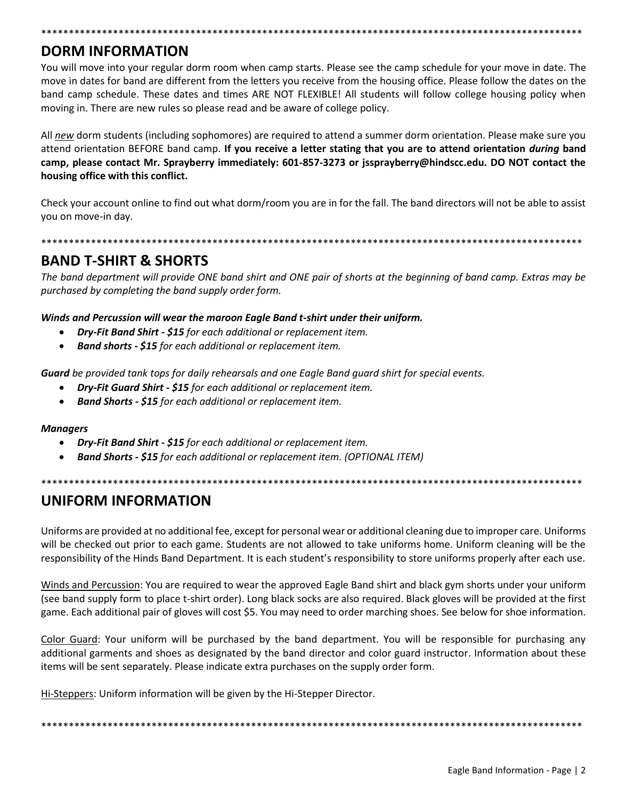# **DORM INFORMATION**

You will move into your regular dorm room when camp starts. Please see the camp schedule for your move in date. The move in dates for band are different from the letters you receive from the housing office. Please follow the dates on the band camp schedule. These dates and times ARE NOT FLEXIBLE! All students will follow college housing policy when moving in. There are new rules so please read and be aware of college policy.

\*\*\*\*\*\*\*\*\*\*\*\*\*\*\*\*\*\*\*\*\*\*\*\*\*\*\*\*\*\*\*\*\*\*\*\*\*\*\*\*\*\*\*\*\*\*\*\*\*\*\*\*\*\*\*\*\*\*\*\*\*\*\*\*\*\*\*\*\*\*\*\*\*\*\*\*\*\*\*\*\*\*\*\*\*\*\*\*\*\*\*\*\*\*\*\*\*\*

All *new* dorm students (including sophomores) are required to attend a summer dorm orientation. Please make sure you attend orientation BEFORE band camp. **If you receive a letter stating that you are to attend orientation** *during* **band camp, please contact Mr. Sprayberry immediately: 601-857-3273 or jssprayberry@hindscc.edu. DO NOT contact the housing office with this conflict.** 

Check your account online to find out what dorm/room you are in for the fall. The band directors will not be able to assist you on move-in day.

## \*\*\*\*\*\*\*\*\*\*\*\*\*\*\*\*\*\*\*\*\*\*\*\*\*\*\*\*\*\*\*\*\*\*\*\*\*\*\*\*\*\*\*\*\*\*\*\*\*\*\*\*\*\*\*\*\*\*\*\*\*\*\*\*\*\*\*\*\*\*\*\*\*\*\*\*\*\*\*\*\*\*\*\*\*\*\*\*\*\*\*\*\*\*\*\*\*\*

# **BAND T-SHIRT & SHORTS**

*The band department will provide ONE band shirt and ONE pair of shorts at the beginning of band camp. Extras may be purchased by completing the band supply order form.* 

*Winds and Percussion will wear the maroon Eagle Band t-shirt under their uniform.* 

- *Dry-Fit Band Shirt - \$15 for each additional or replacement item.*
- *Band shorts - \$15 for each additional or replacement item.*

*Guard be provided tank tops for daily rehearsals and one Eagle Band guard shirt for special events.* 

- *Dry-Fit Guard Shirt - \$15 for each additional or replacement item.*
- *Band Shorts - \$15 for each additional or replacement item.*

#### *Managers*

- *Dry-Fit Band Shirt - \$15 for each additional or replacement item.*
- *Band Shorts - \$15 for each additional or replacement item. (OPTIONAL ITEM)*
- \*\*\*\*\*\*\*\*\*\*\*\*\*\*\*\*\*\*\*\*\*\*\*\*\*\*\*\*\*\*\*\*\*\*\*\*\*\*\*\*\*\*\*\*\*\*\*\*\*\*\*\*\*\*\*\*\*\*\*\*\*\*\*\*\*\*\*\*\*\*\*\*\*\*\*\*\*\*\*\*\*\*\*\*\*\*\*\*\*\*\*\*\*\*\*\*\*\*

# **UNIFORM INFORMATION**

Uniforms are provided at no additional fee, except for personal wear or additional cleaning due to improper care. Uniforms will be checked out prior to each game. Students are not allowed to take uniforms home. Uniform cleaning will be the responsibility of the Hinds Band Department. It is each student's responsibility to store uniforms properly after each use.

Winds and Percussion: You are required to wear the approved Eagle Band shirt and black gym shorts under your uniform (see band supply form to place t-shirt order). Long black socks are also required. Black gloves will be provided at the first game. Each additional pair of gloves will cost \$5. You may need to order marching shoes. See below for shoe information.

Color Guard: Your uniform will be purchased by the band department. You will be responsible for purchasing any additional garments and shoes as designated by the band director and color guard instructor. Information about these items will be sent separately. Please indicate extra purchases on the supply order form.

Hi-Steppers: Uniform information will be given by the Hi-Stepper Director.

\*\*\*\*\*\*\*\*\*\*\*\*\*\*\*\*\*\*\*\*\*\*\*\*\*\*\*\*\*\*\*\*\*\*\*\*\*